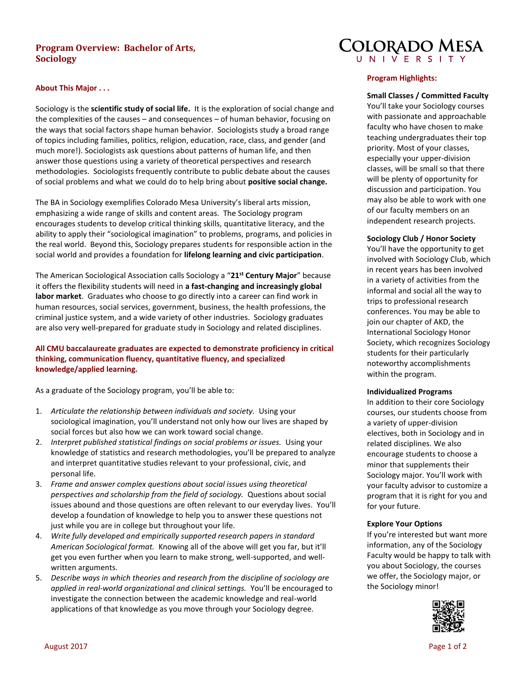# **Program Overview: Bachelor of Arts, Sociology**

### **About This Major . . .**

Sociology is the **scientific study of social life.** It is the exploration of social change and the complexities of the causes – and consequences – of human behavior, focusing on the ways that social factors shape human behavior. Sociologists study a broad range of topics including families, politics, religion, education, race, class, and gender (and much more!). Sociologists ask questions about patterns of human life, and then answer those questions using a variety of theoretical perspectives and research methodologies. Sociologists frequently contribute to public debate about the causes of social problems and what we could do to help bring about **positive social change.** 

The BA in Sociology exemplifies Colorado Mesa University's liberal arts mission, emphasizing a wide range of skills and content areas. The Sociology program encourages students to develop critical thinking skills, quantitative literacy, and the ability to apply their "sociological imagination" to problems, programs, and policies in the real world. Beyond this, Sociology prepares students for responsible action in the social world and provides a foundation for **lifelong learning and civic participation**.

The American Sociological Association calls Sociology a "**21st Century Major**" because it offers the flexibility students will need in **a fast-changing and increasingly global labor market**. Graduates who choose to go directly into a career can find work in human resources, social services, government, business, the health professions, the criminal justice system, and a wide variety of other industries. Sociology graduates are also very well-prepared for graduate study in Sociology and related disciplines.

## **All CMU baccalaureate graduates are expected to demonstrate proficiency in critical thinking, communication fluency, quantitative fluency, and specialized knowledge/applied learning.**

As a graduate of the Sociology program, you'll be able to:

- 1. *Articulate the relationship between individuals and society.* Using your sociological imagination, you'll understand not only how our lives are shaped by social forces but also how we can work toward social change.
- 2. *Interpret published statistical findings on social problems or issues.* Using your knowledge of statistics and research methodologies, you'll be prepared to analyze and interpret quantitative studies relevant to your professional, civic, and personal life.
- 3. *Frame and answer complex questions about social issues using theoretical perspectives and scholarship from the field of sociology.* Questions about social issues abound and those questions are often relevant to our everyday lives. You'll develop a foundation of knowledge to help you to answer these questions not just while you are in college but throughout your life.
- 4. *Write fully developed and empirically supported research papers in standard American Sociological format.* Knowing all of the above will get you far, but it'll get you even further when you learn to make strong, well-supported, and wellwritten arguments.
- 5. *Describe ways in which theories and research from the discipline of sociology are applied in real-world organizational and clinical settings.* You'll be encouraged to investigate the connection between the academic knowledge and real-world applications of that knowledge as you move through your Sociology degree.



### **Program Highlights:**

**Small Classes / Committed Faculty**

You'll take your Sociology courses with passionate and approachable faculty who have chosen to make teaching undergraduates their top priority. Most of your classes, especially your upper-division classes, will be small so that there will be plenty of opportunity for discussion and participation. You may also be able to work with one of our faculty members on an independent research projects.

### **Sociology Club / Honor Society**

You'll have the opportunity to get involved with Sociology Club, which in recent years has been involved in a variety of activities from the informal and social all the way to trips to professional research conferences. You may be able to join our chapter of AKD, the International Sociology Honor Society, which recognizes Sociology students for their particularly noteworthy accomplishments within the program.

#### **Individualized Programs**

In addition to their core Sociology courses, our students choose from a variety of upper-division electives, both in Sociology and in related disciplines. We also encourage students to choose a minor that supplements their Sociology major. You'll work with your faculty advisor to customize a program that it is right for you and for your future.

#### **Explore Your Options**

If you're interested but want more information, any of the Sociology Faculty would be happy to talk with you about Sociology, the courses we offer, the Sociology major, or the Sociology minor!